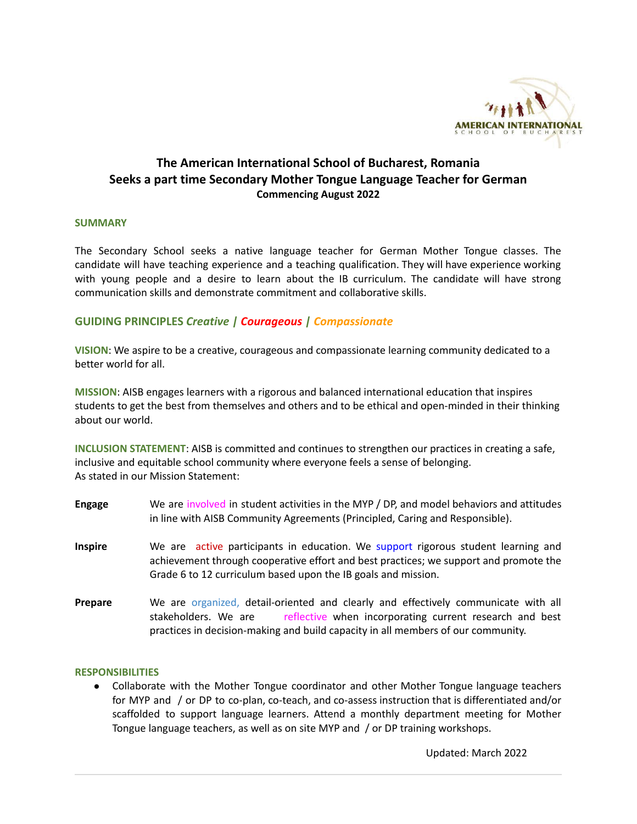

# **The American International School of Bucharest, Romania Seeks a part time Secondary Mother Tongue Language Teacher for German Commencing August 2022**

#### **SUMMARY**

The Secondary School seeks a native language teacher for German Mother Tongue classes. The candidate will have teaching experience and a teaching qualification. They will have experience working with young people and a desire to learn about the IB curriculum. The candidate will have strong communication skills and demonstrate commitment and collaborative skills.

# **GUIDING PRINCIPLES** *Creative | Courageous | Compassionate*

**VISION**: We aspire to be a creative, courageous and compassionate learning community dedicated to a better world for all.

**MISSION**: AISB engages learners with a rigorous and balanced international education that inspires students to get the best from themselves and others and to be ethical and open-minded in their thinking about our world.

**INCLUSION STATEMENT**: AISB is committed and continues to strengthen our practices in creating a safe, inclusive and equitable school community where everyone feels a sense of belonging. As stated in our Mission Statement:

- **Engage** We are involved in student activities in the MYP / DP, and model behaviors and attitudes in line with AISB Community Agreements (Principled, Caring and Responsible).
- **Inspire** We are active participants in education. We support rigorous student learning and achievement through cooperative effort and best practices; we support and promote the Grade 6 to 12 curriculum based upon the IB goals and mission.
- **Prepare** We are organized, detail-oriented and clearly and effectively communicate with all stakeholders. We are reflective when incorporating current research and best practices in decision-making and build capacity in all members of our community.

#### **RESPONSIBILITIES**

● Collaborate with the Mother Tongue coordinator and other Mother Tongue language teachers for MYP and / or DP to co-plan, co-teach, and co-assess instruction that is differentiated and/or scaffolded to support language learners. Attend a monthly department meeting for Mother Tongue language teachers, as well as on site MYP and / or DP training workshops.

Updated: March 2022